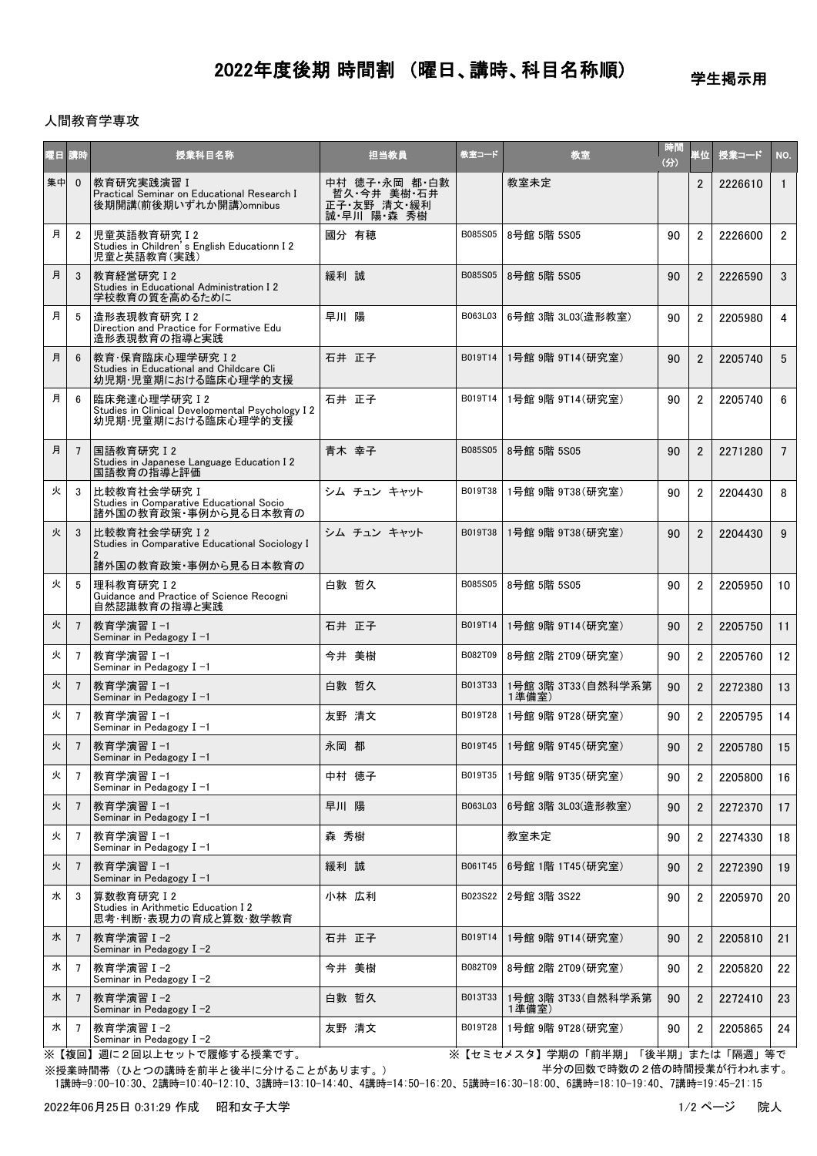## 2022年度後期 時間割 (曜日、講時、科目名称順)

学生掲示用

## 人間教育学専攻

| 曜日 講時 |                | 授業科目名称                                                                                        | 担当教員                                                       | 教室コード   | 教室                          | 時間<br>(分) | 単位             | 授業コード   | NO.             |
|-------|----------------|-----------------------------------------------------------------------------------------------|------------------------------------------------------------|---------|-----------------------------|-----------|----------------|---------|-----------------|
| 集中    | $\mathbf{0}$   | 教育研究実践演習 I<br>Practical Seminar on Educational Research I<br>後期開講(前後期いずれか開講)omnibus           | 中村 徳子·永岡 都·白數<br>哲久 今井 美樹 石井<br>正子 友野 清文 緩利<br>誠 早川 陽 森 秀樹 |         | 教室未定                        |           | $\overline{2}$ | 2226610 | $\overline{1}$  |
| 月     | $\overline{2}$ | 児童英語教育研究 I 2<br>Studies in Children's English Educationn I 2<br>児童と英語教育(実践)                   | 國分 有穂                                                      | B085S05 | 8号館 5階 5S05                 | 90        | $\overline{2}$ | 2226600 | $\overline{2}$  |
| 月     | 3              | 教育経営研究 I 2<br>Studies in Educational Administration I 2<br>学校教育の質を高めるために                      | 緩利 誠                                                       | B085S05 | 8号館 5階 5S05                 | 90        | $\overline{2}$ | 2226590 | 3               |
| 月     | 5              | 造形表現教育研究 I2<br>Direction and Practice for Formative Edu<br>造形表現教育の指導と実践                       | 早川 陽                                                       | B063L03 | 6号館 3階 3L03(造形教室)           | 90        | $\overline{2}$ | 2205980 | $\overline{4}$  |
| 月     | 6              | 教育·保育臨床心理学研究 I 2<br>Studies in Educational and Childcare Cli<br>幼児期・児童期における臨床心理学的支援           | 石井 正子                                                      | B019T14 | 1号館 9階 9T14(研究室)            | 90        | $\overline{2}$ | 2205740 | 5               |
| 月     | 6              | 臨床発達心理学研究 I 2<br>Studies in Clinical Developmental Psychology I 2<br>幼児期・児童期における臨床心理学的支援      | 石井 正子                                                      | B019T14 | 1号館 9階 9T14(研究室)            | 90        | $\overline{2}$ | 2205740 | 6               |
| 月     | $\overline{7}$ | 国語教育研究 I 2<br>Studies in Japanese Language Education I 2<br>国語教育の指導と評価                        | 青木 幸子                                                      | B085S05 | 8号館 5階 5S05                 | 90        | $\overline{2}$ | 2271280 | $7\overline{ }$ |
| 火     | 3              | 比較教育社会学研究 I<br>Studies in Comparative Educational Socio<br>諸外国の教育政策・事例から見る日本教育の               | シム チュン キャット                                                | B019T38 | 1号館 9階 9T38(研究室)            | 90        | $\overline{2}$ | 2204430 | 8               |
| 火     | 3              | 比較教育社会学研究 12<br>Studies in Comparative Educational Sociology I<br>2                           | シム チュン キャット                                                | B019T38 | 1号館 9階 9T38(研究室)            | 90        | $\overline{2}$ | 2204430 | 9               |
| 火     | 5              | 諸外国の教育政策・事例から見る日本教育の<br>理科教育研究 I2<br>Guidance and Practice of Science Recogni<br>自然認識教育の指導と実践 | 白數 哲久                                                      | B085S05 | 8号館 5階 5S05                 | 90        | $\overline{2}$ | 2205950 | 10              |
| 火     | $\overline{7}$ | 教育学演習Ⅰ−1<br>Seminar in Pedagogy $I -1$                                                        | 石井 正子                                                      | B019T14 | 1号館 9階 9T14 (研究室)           | 90        | $\overline{2}$ | 2205750 | 11              |
| 火     | 7              | 教育学演習Ⅰ−1<br>Seminar in Pedagogy I-1                                                           | 今井 美樹                                                      | B082T09 | 8号館 2階 2T09 (研究室)           | 90        | $\overline{2}$ | 2205760 | 12              |
| 火     | 7              | 教育学演習Ⅰ-1<br>Seminar in Pedagogy $I - 1$                                                       | 白數 哲久                                                      | B013T33 | 1号館 3階 3T33(自然科学系第<br>1準備室) | 90        | $\overline{2}$ | 2272380 | 13              |
| 火     | 7              | 教育学演習Ⅰ−1<br>Seminar in Pedagogy $I -1$                                                        | 友野 清文                                                      | B019T28 | 1号館 9階 9T28 (研究室)           | 90        | $\overline{2}$ | 2205795 | 14              |
| 火     | $\overline{7}$ | 教育学演習 I-1<br>Seminar in Pedagogy I-1                                                          | 永岡 都                                                       |         | B019T45   1号館 9階 9T45(研究室)  | 90        | $\overline{2}$ | 2205780 | 15              |
| 火     | $\overline{7}$ | 教育学演習 I-1<br>Seminar in Pedagogy I-1                                                          | 中村 徳子                                                      | B019T35 | 1号館 9階 9T35(研究室)            | 90        | $\overline{2}$ | 2205800 | 16              |
| 火     | $\overline{7}$ | 教育学演習Ⅰ−1<br>Seminar in Pedagogy $I - 1$                                                       | 早川 陽                                                       | B063L03 | 6号館 3階 3L03(造形教室)           | 90        | $\overline{2}$ | 2272370 | 17              |
| 火     | 7              | 教育学演習 Ⅰ-1<br>Seminar in Pedagogy I-1                                                          | 森 秀樹                                                       |         | 教室未定                        | 90        | $\overline{2}$ | 2274330 | 18              |
| 火     | $\overline{7}$ | 教育学演習 I-1<br>Seminar in Pedagogy $I - 1$                                                      | 緩利 誠                                                       | B061T45 | 6号館 1階 1T45 (研究室)           | 90        | $\overline{2}$ | 2272390 | 19              |
| 水     | 3              | 算数教育研究 I 2<br>Studies in Arithmetic Education I 2<br>思考・判断・表現力の育成と算数・数学教育                     | 小林 広利                                                      | B023S22 | 2号館 3階 3S22                 | 90        | $\overline{2}$ | 2205970 | 20              |
| 水     | $\overline{7}$ | 教育学演習Ⅰ-2<br>Seminar in Pedagogy $I -2$                                                        | 石井 正子                                                      | B019T14 | 1号館 9階 9T14 (研究室)           | 90        | $\overline{2}$ | 2205810 | 21              |
| 水     | 7              | 教育学演習 I-2<br>Seminar in Pedagogy $I -2$                                                       | 今井 美樹                                                      | B082T09 | 8号館 2階 2T09 (研究室)           | 90        | $\overline{2}$ | 2205820 | 22              |
| 水     | $\overline{7}$ | 教育学演習 I-2<br>Seminar in Pedagogy $I -2$                                                       | 白數 哲久                                                      | B013T33 | 1号館 3階 3T33(自然科学系第<br>1準備室) | 90        | $\overline{2}$ | 2272410 | 23              |
| 水     | $\overline{7}$ | 教育学演習Ⅰ-2<br>Seminar in Pedagogy $I -2$                                                        | 友野 清文                                                      | B019T28 | 1号館 9階 9T28(研究室)            | 90        | $\overline{2}$ | 2205865 | 24              |

※【複回】週に2回以上セットで履修する授業です。 ※【セミセメスタ】学期の「前半期」「後半期」または「隔週」等で 半分の回数で時数の2倍の時間授業が行われます。

 1講時=9:00-10:30、2講時=10:40-12:10、3講時=13:10-14:40、4講時=14:50-16:20、5講時=16:30-18:00、6講時=18:10-19:40、7講時=19:45-21:15 ※授業時間帯(ひとつの講時を前半と後半に分けることがあります。)